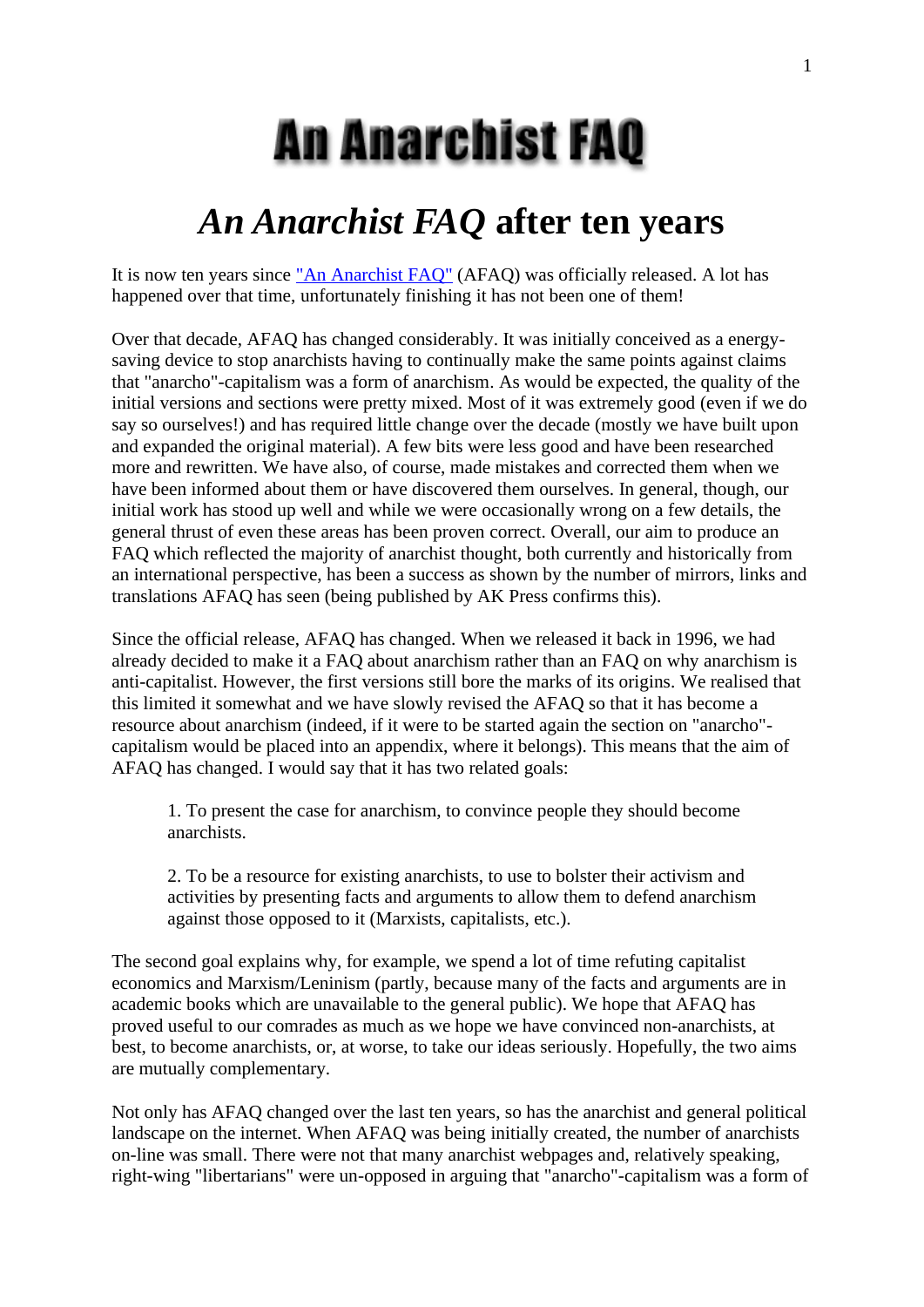## **An Anarchist FAQ**

## *An Anarchist FAQ* **after ten years**

It is now ten years since ["An Anarchist FAQ"](index.html) (AFAQ) was officially released. A lot has happened over that time, unfortunately finishing it has not been one of them!

Over that decade, AFAQ has changed considerably. It was initially conceived as a energysaving device to stop anarchists having to continually make the same points against claims that "anarcho"-capitalism was a form of anarchism. As would be expected, the quality of the initial versions and sections were pretty mixed. Most of it was extremely good (even if we do say so ourselves!) and has required little change over the decade (mostly we have built upon and expanded the original material). A few bits were less good and have been researched more and rewritten. We have also, of course, made mistakes and corrected them when we have been informed about them or have discovered them ourselves. In general, though, our initial work has stood up well and while we were occasionally wrong on a few details, the general thrust of even these areas has been proven correct. Overall, our aim to produce an FAQ which reflected the majority of anarchist thought, both currently and historically from an international perspective, has been a success as shown by the number of mirrors, links and translations AFAQ has seen (being published by AK Press confirms this).

Since the official release, AFAQ has changed. When we released it back in 1996, we had already decided to make it a FAQ about anarchism rather than an FAQ on why anarchism is anti-capitalist. However, the first versions still bore the marks of its origins. We realised that this limited it somewhat and we have slowly revised the AFAQ so that it has become a resource about anarchism (indeed, if it were to be started again the section on "anarcho" capitalism would be placed into an appendix, where it belongs). This means that the aim of AFAQ has changed. I would say that it has two related goals:

1. To present the case for anarchism, to convince people they should become anarchists.

2. To be a resource for existing anarchists, to use to bolster their activism and activities by presenting facts and arguments to allow them to defend anarchism against those opposed to it (Marxists, capitalists, etc.).

The second goal explains why, for example, we spend a lot of time refuting capitalist economics and Marxism/Leninism (partly, because many of the facts and arguments are in academic books which are unavailable to the general public). We hope that AFAQ has proved useful to our comrades as much as we hope we have convinced non-anarchists, at best, to become anarchists, or, at worse, to take our ideas seriously. Hopefully, the two aims are mutually complementary.

Not only has AFAQ changed over the last ten years, so has the anarchist and general political landscape on the internet. When AFAQ was being initially created, the number of anarchists on-line was small. There were not that many anarchist webpages and, relatively speaking, right-wing "libertarians" were un-opposed in arguing that "anarcho"-capitalism was a form of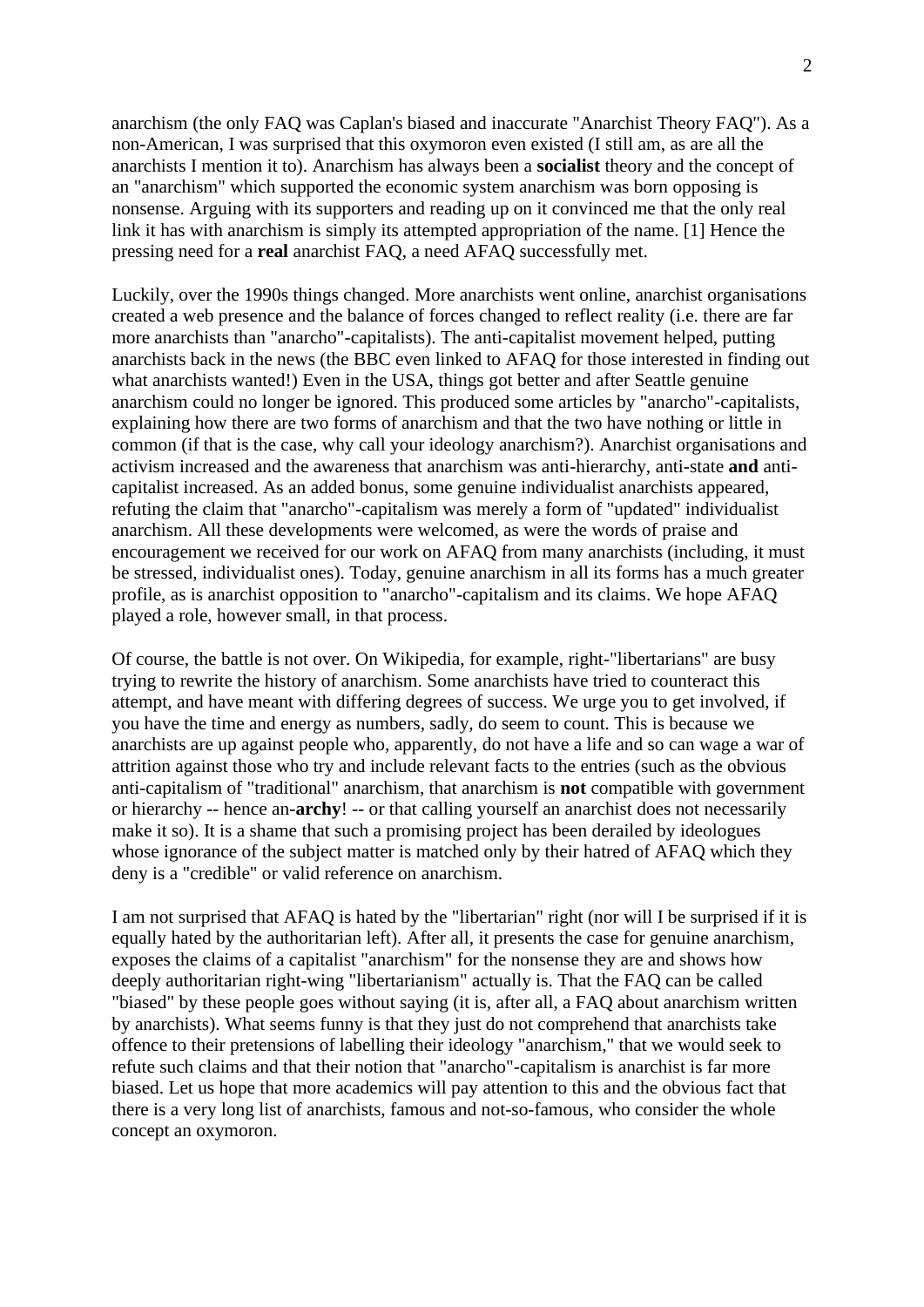anarchism (the only FAQ was Caplan's biased and inaccurate "Anarchist Theory FAQ"). As a non-American, I was surprised that this oxymoron even existed (I still am, as are all the anarchists I mention it to). Anarchism has always been a **socialist** theory and the concept of an "anarchism" which supported the economic system anarchism was born opposing is nonsense. Arguing with its supporters and reading up on it convinced me that the only real link it has with anarchism is simply its attempted appropriation of the name. [1] Hence the pressing need for a **real** anarchist FAQ, a need AFAQ successfully met.

Luckily, over the 1990s things changed. More anarchists went online, anarchist organisations created a web presence and the balance of forces changed to reflect reality (i.e. there are far more anarchists than "anarcho"-capitalists). The anti-capitalist movement helped, putting anarchists back in the news (the BBC even linked to AFAQ for those interested in finding out what anarchists wanted!) Even in the USA, things got better and after Seattle genuine anarchism could no longer be ignored. This produced some articles by "anarcho"-capitalists, explaining how there are two forms of anarchism and that the two have nothing or little in common (if that is the case, why call your ideology anarchism?). Anarchist organisations and activism increased and the awareness that anarchism was anti-hierarchy, anti-state **and** anticapitalist increased. As an added bonus, some genuine individualist anarchists appeared, refuting the claim that "anarcho"-capitalism was merely a form of "updated" individualist anarchism. All these developments were welcomed, as were the words of praise and encouragement we received for our work on AFAQ from many anarchists (including, it must be stressed, individualist ones). Today, genuine anarchism in all its forms has a much greater profile, as is anarchist opposition to "anarcho"-capitalism and its claims. We hope AFAQ played a role, however small, in that process.

Of course, the battle is not over. On Wikipedia, for example, right-"libertarians" are busy trying to rewrite the history of anarchism. Some anarchists have tried to counteract this attempt, and have meant with differing degrees of success. We urge you to get involved, if you have the time and energy as numbers, sadly, do seem to count. This is because we anarchists are up against people who, apparently, do not have a life and so can wage a war of attrition against those who try and include relevant facts to the entries (such as the obvious anti-capitalism of "traditional" anarchism, that anarchism is **not** compatible with government or hierarchy -- hence an-**archy**! -- or that calling yourself an anarchist does not necessarily make it so). It is a shame that such a promising project has been derailed by ideologues whose ignorance of the subject matter is matched only by their hatred of AFAQ which they deny is a "credible" or valid reference on anarchism.

I am not surprised that AFAQ is hated by the "libertarian" right (nor will I be surprised if it is equally hated by the authoritarian left). After all, it presents the case for genuine anarchism, exposes the claims of a capitalist "anarchism" for the nonsense they are and shows how deeply authoritarian right-wing "libertarianism" actually is. That the FAQ can be called "biased" by these people goes without saying (it is, after all, a FAQ about anarchism written by anarchists). What seems funny is that they just do not comprehend that anarchists take offence to their pretensions of labelling their ideology "anarchism," that we would seek to refute such claims and that their notion that "anarcho"-capitalism is anarchist is far more biased. Let us hope that more academics will pay attention to this and the obvious fact that there is a very long list of anarchists, famous and not-so-famous, who consider the whole concept an oxymoron.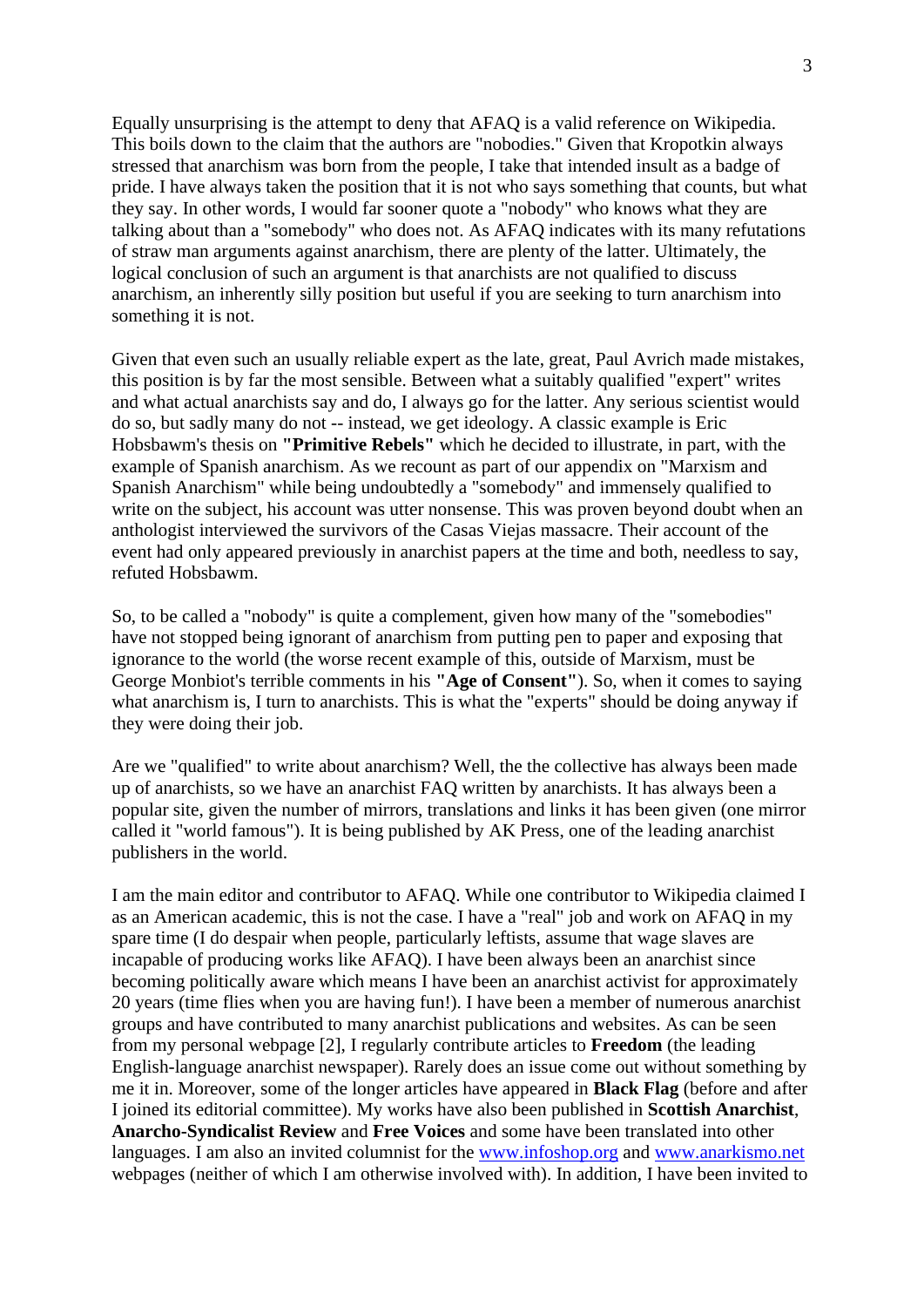Equally unsurprising is the attempt to deny that AFAQ is a valid reference on Wikipedia. This boils down to the claim that the authors are "nobodies." Given that Kropotkin always stressed that anarchism was born from the people, I take that intended insult as a badge of pride. I have always taken the position that it is not who says something that counts, but what they say. In other words, I would far sooner quote a "nobody" who knows what they are talking about than a "somebody" who does not. As AFAQ indicates with its many refutations of straw man arguments against anarchism, there are plenty of the latter. Ultimately, the logical conclusion of such an argument is that anarchists are not qualified to discuss anarchism, an inherently silly position but useful if you are seeking to turn anarchism into something it is not.

Given that even such an usually reliable expert as the late, great, Paul Avrich made mistakes, this position is by far the most sensible. Between what a suitably qualified "expert" writes and what actual anarchists say and do, I always go for the latter. Any serious scientist would do so, but sadly many do not -- instead, we get ideology. A classic example is Eric Hobsbawm's thesis on **"Primitive Rebels"** which he decided to illustrate, in part, with the example of Spanish anarchism. As we recount as part of our appendix on "Marxism and Spanish Anarchism" while being undoubtedly a "somebody" and immensely qualified to write on the subject, his account was utter nonsense. This was proven beyond doubt when an anthologist interviewed the survivors of the Casas Viejas massacre. Their account of the event had only appeared previously in anarchist papers at the time and both, needless to say, refuted Hobsbawm.

So, to be called a "nobody" is quite a complement, given how many of the "somebodies" have not stopped being ignorant of anarchism from putting pen to paper and exposing that ignorance to the world (the worse recent example of this, outside of Marxism, must be George Monbiot's terrible comments in his **"Age of Consent"**). So, when it comes to saying what anarchism is, I turn to anarchists. This is what the "experts" should be doing anyway if they were doing their job.

Are we "qualified" to write about anarchism? Well, the the collective has always been made up of anarchists, so we have an anarchist FAQ written by anarchists. It has always been a popular site, given the number of mirrors, translations and links it has been given (one mirror called it "world famous"). It is being published by AK Press, one of the leading anarchist publishers in the world.

I am the main editor and contributor to AFAQ. While one contributor to Wikipedia claimed I as an American academic, this is not the case. I have a "real" job and work on AFAQ in my spare time (I do despair when people, particularly leftists, assume that wage slaves are incapable of producing works like AFAQ). I have been always been an anarchist since becoming politically aware which means I have been an anarchist activist for approximately 20 years (time flies when you are having fun!). I have been a member of numerous anarchist groups and have contributed to many anarchist publications and websites. As can be seen from my personal webpage [2], I regularly contribute articles to **Freedom** (the leading English-language anarchist newspaper). Rarely does an issue come out without something by me it in. Moreover, some of the longer articles have appeared in **Black Flag** (before and after I joined its editorial committee). My works have also been published in **Scottish Anarchist**, **Anarcho-Syndicalist Review** and **Free Voices** and some have been translated into other languages. I am also an invited columnist for the [www.infoshop.org](http://www.infoshop.org/) and [www.anarkismo.net](http://www.anarkismo.net/) webpages (neither of which I am otherwise involved with). In addition, I have been invited to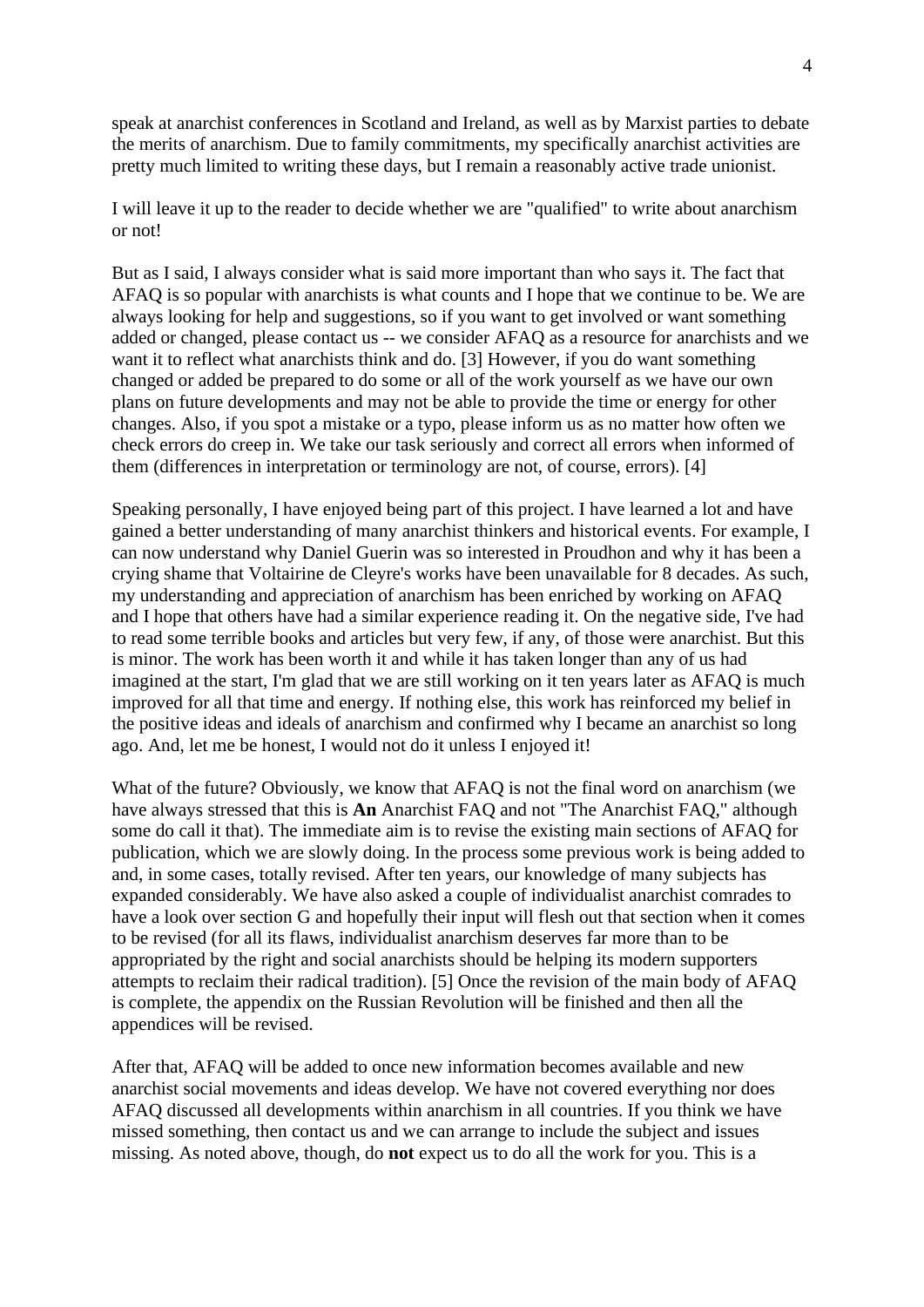speak at anarchist conferences in Scotland and Ireland, as well as by Marxist parties to debate the merits of anarchism. Due to family commitments, my specifically anarchist activities are pretty much limited to writing these days, but I remain a reasonably active trade unionist.

I will leave it up to the reader to decide whether we are "qualified" to write about anarchism or not!

But as I said, I always consider what is said more important than who says it. The fact that AFAQ is so popular with anarchists is what counts and I hope that we continue to be. We are always looking for help and suggestions, so if you want to get involved or want something added or changed, please contact us -- we consider AFAQ as a resource for anarchists and we want it to reflect what anarchists think and do. [3] However, if you do want something changed or added be prepared to do some or all of the work yourself as we have our own plans on future developments and may not be able to provide the time or energy for other changes. Also, if you spot a mistake or a typo, please inform us as no matter how often we check errors do creep in. We take our task seriously and correct all errors when informed of them (differences in interpretation or terminology are not, of course, errors). [4]

Speaking personally, I have enjoyed being part of this project. I have learned a lot and have gained a better understanding of many anarchist thinkers and historical events. For example, I can now understand why Daniel Guerin was so interested in Proudhon and why it has been a crying shame that Voltairine de Cleyre's works have been unavailable for 8 decades. As such, my understanding and appreciation of anarchism has been enriched by working on AFAQ and I hope that others have had a similar experience reading it. On the negative side, I've had to read some terrible books and articles but very few, if any, of those were anarchist. But this is minor. The work has been worth it and while it has taken longer than any of us had imagined at the start, I'm glad that we are still working on it ten years later as AFAQ is much improved for all that time and energy. If nothing else, this work has reinforced my belief in the positive ideas and ideals of anarchism and confirmed why I became an anarchist so long ago. And, let me be honest, I would not do it unless I enjoyed it!

What of the future? Obviously, we know that AFAQ is not the final word on anarchism (we have always stressed that this is **An** Anarchist FAQ and not "The Anarchist FAQ," although some do call it that). The immediate aim is to revise the existing main sections of AFAQ for publication, which we are slowly doing. In the process some previous work is being added to and, in some cases, totally revised. After ten years, our knowledge of many subjects has expanded considerably. We have also asked a couple of individualist anarchist comrades to have a look over section G and hopefully their input will flesh out that section when it comes to be revised (for all its flaws, individualist anarchism deserves far more than to be appropriated by the right and social anarchists should be helping its modern supporters attempts to reclaim their radical tradition). [5] Once the revision of the main body of AFAQ is complete, the appendix on the Russian Revolution will be finished and then all the appendices will be revised.

After that, AFAQ will be added to once new information becomes available and new anarchist social movements and ideas develop. We have not covered everything nor does AFAQ discussed all developments within anarchism in all countries. If you think we have missed something, then contact us and we can arrange to include the subject and issues missing. As noted above, though, do **not** expect us to do all the work for you. This is a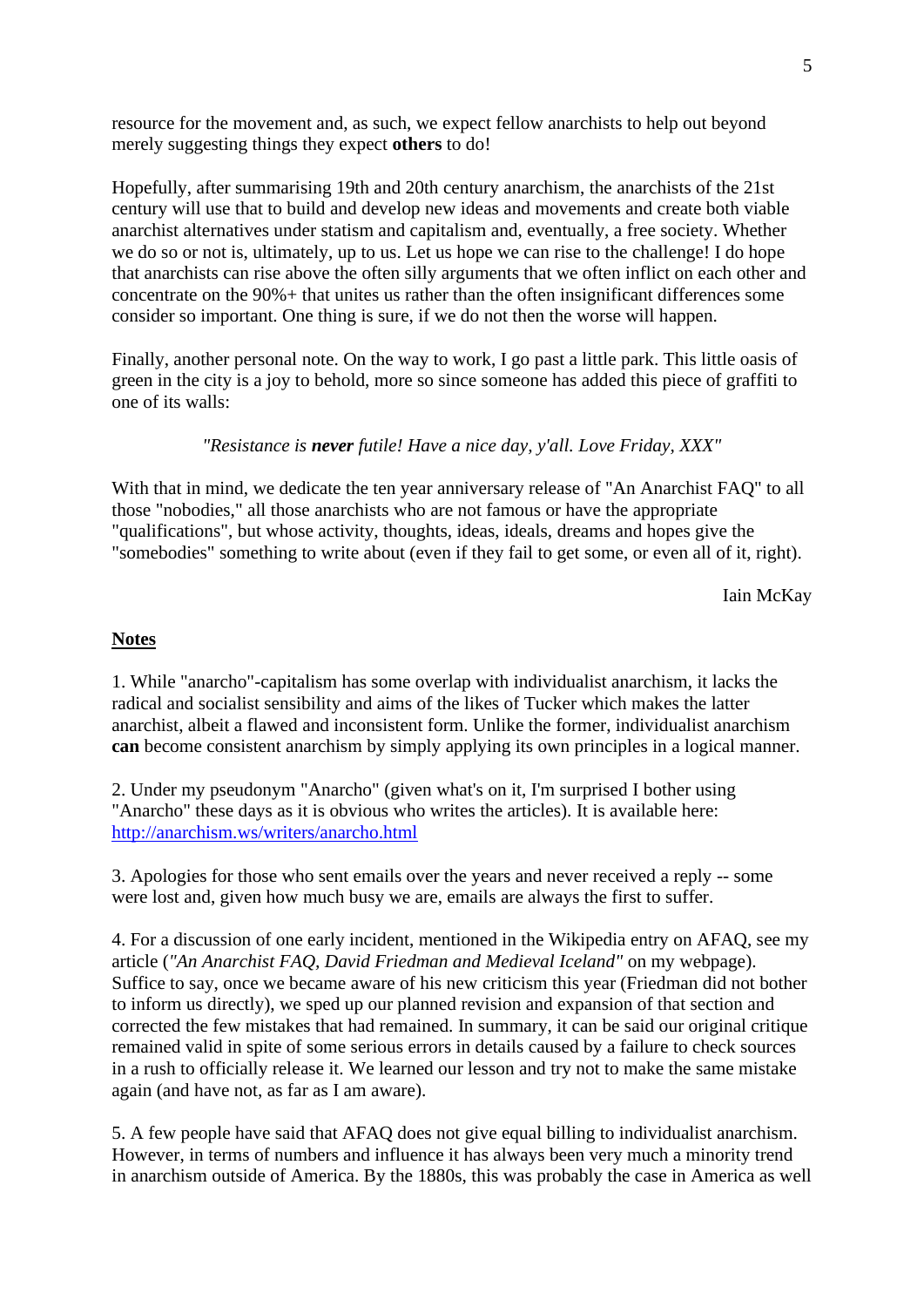resource for the movement and, as such, we expect fellow anarchists to help out beyond merely suggesting things they expect **others** to do!

Hopefully, after summarising 19th and 20th century anarchism, the anarchists of the 21st century will use that to build and develop new ideas and movements and create both viable anarchist alternatives under statism and capitalism and, eventually, a free society. Whether we do so or not is, ultimately, up to us. Let us hope we can rise to the challenge! I do hope that anarchists can rise above the often silly arguments that we often inflict on each other and concentrate on the 90%+ that unites us rather than the often insignificant differences some consider so important. One thing is sure, if we do not then the worse will happen.

Finally, another personal note. On the way to work, I go past a little park. This little oasis of green in the city is a joy to behold, more so since someone has added this piece of graffiti to one of its walls:

*"Resistance is never futile! Have a nice day, y'all. Love Friday, XXX"*

With that in mind, we dedicate the ten year anniversary release of "An Anarchist FAQ" to all those "nobodies," all those anarchists who are not famous or have the appropriate "qualifications", but whose activity, thoughts, ideas, ideals, dreams and hopes give the "somebodies" something to write about (even if they fail to get some, or even all of it, right).

Iain McKay

## **Notes**

1. While "anarcho"-capitalism has some overlap with individualist anarchism, it lacks the radical and socialist sensibility and aims of the likes of Tucker which makes the latter anarchist, albeit a flawed and inconsistent form. Unlike the former, individualist anarchism **can** become consistent anarchism by simply applying its own principles in a logical manner.

2. Under my pseudonym "Anarcho" (given what's on it, I'm surprised I bother using "Anarcho" these days as it is obvious who writes the articles). It is available here: <http://anarchism.ws/writers/anarcho.html>

3. Apologies for those who sent emails over the years and never received a reply -- some were lost and, given how much busy we are, emails are always the first to suffer.

4. For a discussion of one early incident, mentioned in the Wikipedia entry on AFAQ, see my article (*"An Anarchist FAQ, David Friedman and Medieval Iceland"* on my webpage). Suffice to say, once we became aware of his new criticism this year (Friedman did not bother to inform us directly), we sped up our planned revision and expansion of that section and corrected the few mistakes that had remained. In summary, it can be said our original critique remained valid in spite of some serious errors in details caused by a failure to check sources in a rush to officially release it. We learned our lesson and try not to make the same mistake again (and have not, as far as I am aware).

5. A few people have said that AFAQ does not give equal billing to individualist anarchism. However, in terms of numbers and influence it has always been very much a minority trend in anarchism outside of America. By the 1880s, this was probably the case in America as well